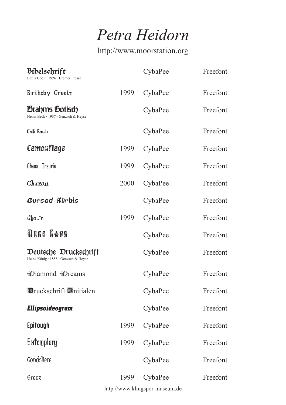*Petra Heidorn*

http://www.moorstation.org

| Bibelschrift<br>Louis Hoell · 1926 · Bremer Presse            |      | CybaPee | Freefont |
|---------------------------------------------------------------|------|---------|----------|
| Birthday Greetz                                               | 1999 | CybaPee | Freefont |
| <b>Brahms Gotisch</b><br>Heinz Beck · 1937 · Genzsch & Heyse  |      | CybaPee | Freefont |
| Galli Brush                                                   |      | CybaPee | Freefont |
| Camouflage                                                    | 1999 | CybaPee | Freefont |
| Chaos Theorie                                                 | 1999 | CybaPee | Freefont |
| Charon                                                        | 2000 | CybaPee | Freefont |
| Cursed Kürbis                                                 |      | CybaPee | Freefont |
| ี่ผู้แี่ก                                                     | 1999 | CybaPee | Freefont |
| <b>DEGO GABS</b>                                              |      | CybaPee | Freefont |
| Deutsche Druckschrift<br>Heinz König · 1888 · Genzsch & Heyse |      | CybaPee | Freefont |
| Diamond Dreams                                                |      | CybaPee | Freefont |
| <b>Druckschrift Mittialen</b>                                 |      | CybaPee | Freefont |
| Ellipsoideogram                                               |      | CybaPee | Freefont |
| Epitough                                                      | 1999 | CybaPee | Freefont |
| <b>Extemplory</b>                                             | 1999 | CybaPee | Freefont |
| Gondoliere                                                    |      | CybaPee | Freefont |
| Greex                                                         | 1999 | CybaPee | Freefont |

http://www.klingspor-museum.de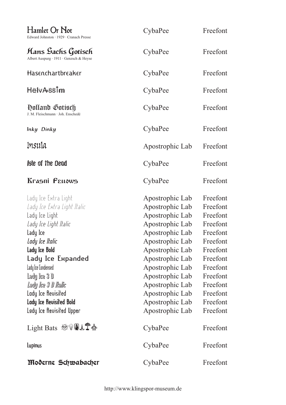| Hamlet Or Not<br>Edward Johnston · 1929 · Cranach Presse                                                                                                                                                                                                                                                      | CybaPee                                                                                                                                                                                                                                                                | Freefont                                                                                                                                                             |
|---------------------------------------------------------------------------------------------------------------------------------------------------------------------------------------------------------------------------------------------------------------------------------------------------------------|------------------------------------------------------------------------------------------------------------------------------------------------------------------------------------------------------------------------------------------------------------------------|----------------------------------------------------------------------------------------------------------------------------------------------------------------------|
| Hans Sachs Gotisch<br>Albert Auspurg · 1911 · Genzsch & Heyse                                                                                                                                                                                                                                                 | CybaPee                                                                                                                                                                                                                                                                | Freefont                                                                                                                                                             |
| Hasenchartbreaker                                                                                                                                                                                                                                                                                             | CybaPee                                                                                                                                                                                                                                                                | Freefont                                                                                                                                                             |
| <b>HelvAssim</b>                                                                                                                                                                                                                                                                                              | CybaPee                                                                                                                                                                                                                                                                | Freefont                                                                                                                                                             |
| Holland Gotisch<br>J. M. Fleischmann · Joh. Enschedé                                                                                                                                                                                                                                                          | CybaPee                                                                                                                                                                                                                                                                | Freefont                                                                                                                                                             |
| Inky Dinky                                                                                                                                                                                                                                                                                                    | CybaPee                                                                                                                                                                                                                                                                | Freefont                                                                                                                                                             |
| Insula                                                                                                                                                                                                                                                                                                        | Apostrophic Lab                                                                                                                                                                                                                                                        | Freefont                                                                                                                                                             |
| <b>Isle of the Dead</b>                                                                                                                                                                                                                                                                                       | CybaPee                                                                                                                                                                                                                                                                | Freefont                                                                                                                                                             |
| Krasni Fellows                                                                                                                                                                                                                                                                                                | CybaPee                                                                                                                                                                                                                                                                | Freefont                                                                                                                                                             |
| Lady Ice Extra Light<br>Lady Ice Extra Light Italic<br>Lady Ice Light<br>Lady Ice Light Italic<br>Lady Ice<br>Lady Ice Italic<br>Lady Ice Bold<br>Lady Ice Expanded<br>Lady Ice Condensed<br>Lady Ice 3 D<br>Lady Ice 3 D Italic<br>Lady Ice Revisited<br>Lady Ice Revisited Bold<br>Lady Ice Revisited Upper | Apostrophic Lab<br>Apostrophic Lab<br>Apostrophic Lab<br>Apostrophic Lab<br>Apostrophic Lab<br>Apostrophic Lab<br>Apostrophic Lab<br>Apostrophic Lab<br>Apostrophic Lab<br>Apostrophic Lab<br>Apostrophic Lab<br>Apostrophic Lab<br>Apostrophic Lab<br>Apostrophic Lab | Freefont<br>Freefont<br>Freefont<br>Freefont<br>Freefont<br>Freefont<br>Freefont<br>Freefont<br>Freefont<br>Freefont<br>Freefont<br>Freefont<br>Freefont<br>Freefont |
| Light Bats <sup>受害国土工业</sup>                                                                                                                                                                                                                                                                                  | CybaPee                                                                                                                                                                                                                                                                | Freefont                                                                                                                                                             |
| Lupinus                                                                                                                                                                                                                                                                                                       | CybaPee                                                                                                                                                                                                                                                                | Freefont                                                                                                                                                             |
| Moderne Schwabacher                                                                                                                                                                                                                                                                                           | CybaPee                                                                                                                                                                                                                                                                | Freefont                                                                                                                                                             |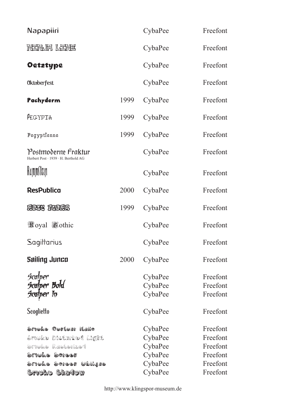|      | CybaPee                                             | Freefont                                                             |
|------|-----------------------------------------------------|----------------------------------------------------------------------|
|      | CybaPee                                             | Freefont                                                             |
|      | CybaPee                                             | Freefont                                                             |
|      | CybaPee                                             | Freefont                                                             |
| 1999 | CybaPee                                             | Freefont                                                             |
| 1999 | CybaPee                                             | Freefont                                                             |
| 1999 | CybaPee                                             | Freefont                                                             |
|      | CybaPee                                             | Freefont                                                             |
|      | CybaPee                                             | Freefont                                                             |
| 2000 | CybaPee                                             | Freefont                                                             |
| 1999 | CybaPee                                             | Freefont                                                             |
|      | CybaPee                                             | Freefont                                                             |
|      | CybaPee                                             | Freefont                                                             |
| 2000 | CybaPee                                             | Freefont                                                             |
|      | CybaPee<br>CybaPee<br>CybaPee<br>CybaPee            | Freefont<br>Freefont<br>Freefont<br>Freefont                         |
|      | CybaPee<br>CybaPee<br>CybaPee<br>CybaPee<br>CybaPee | Freefont<br>Freefont<br>Freefont<br>Freefont<br>Freefont<br>Freefont |
|      |                                                     | CybaPee                                                              |